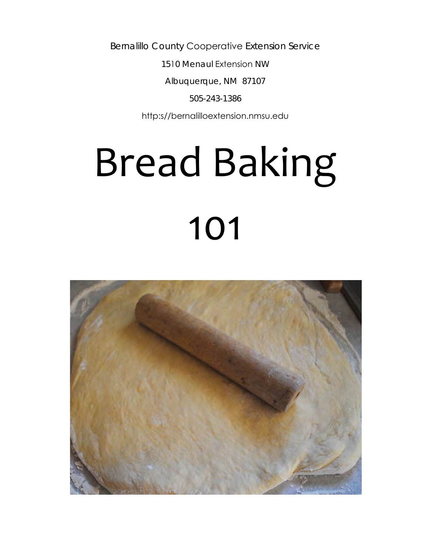Bernalillo County Cooperative Extension Service

1510 Menaul Extension NW

Albuquerque, NM 87107

505-243-1386

[http:s//bernalilloextension.nmsu.edu](https://bernalilloextension.nmsu.edu)

# Bread Baking 101

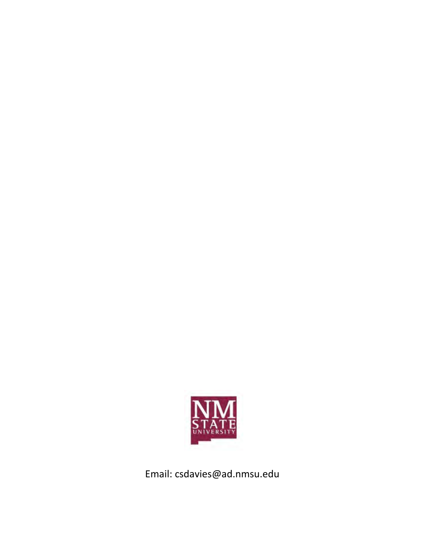

Email: [csdavies@ad.nmsu.edu](mailto:csdavies@ad.nmsu.edu)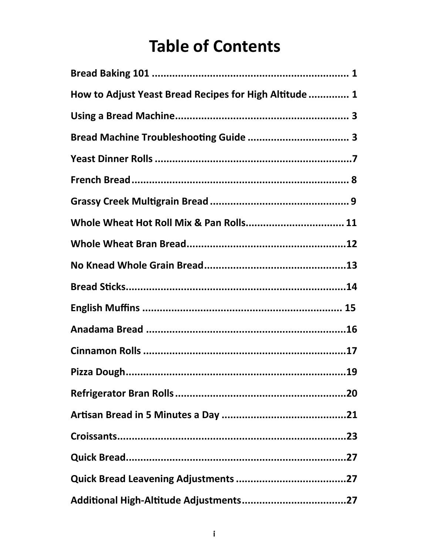### **Table of Contents**

| How to Adjust Yeast Bread Recipes for High Altitude  1 |
|--------------------------------------------------------|
|                                                        |
|                                                        |
|                                                        |
|                                                        |
|                                                        |
| Whole Wheat Hot Roll Mix & Pan Rolls 11                |
|                                                        |
|                                                        |
|                                                        |
|                                                        |
|                                                        |
|                                                        |
|                                                        |
|                                                        |
|                                                        |
|                                                        |
|                                                        |
|                                                        |
|                                                        |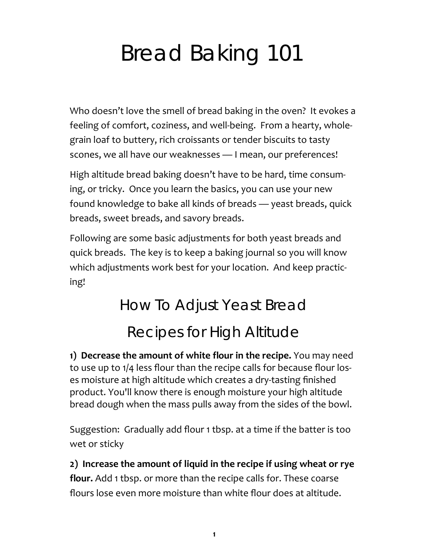### **Table of Contents**

*(continued)*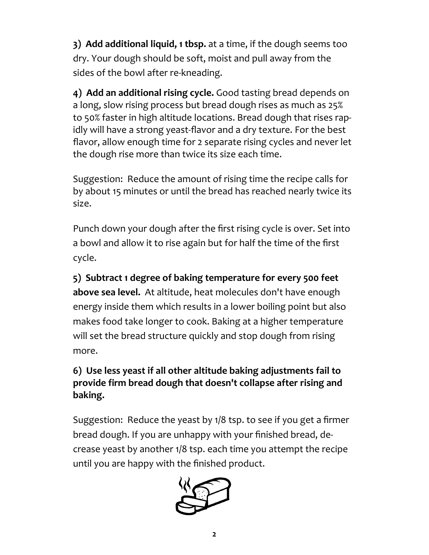# Bread Baking 101

<span id="page-5-0"></span>Who doesn't love the smell of bread baking in the oven? It evokes a feeling of comfort, coziness, and well‐being. From a hearty, whole‐ grain loaf to buttery, rich croissants or tender biscuits to tasty scones, we all have our weaknesses — I mean, our preferences!

High altitude bread baking doesn't have to be hard, time consum‐ ing, or tricky. Once you learn the basics, you can use your new found knowledge to bake all kinds of breads — yeast breads, quick breads, sweet breads, and savory breads.

Following are some basic adjustments for both yeast breads and quick breads. The key is to keep a baking journal so you will know which adjustments work best for your location. And keep practicing!

### How To Adjust Yeast Bread Recipes for High Altitude

**1) Decrease the amount of white flour in the recipe.** You may need to use up to 1/4 less flour than the recipe calls for because flour los‐ es moisture at high altitude which creates a dry‐tasting finished product. You'll know there is enough moisture your high altitude bread dough when the mass pulls away from the sides of the bowl.

Suggestion: Gradually add flour 1 tbsp. at a time if the batter is too wet or sticky

**2) Increase the amount of liquid in the recipe if using wheat or rye flour.** Add 1 tbsp. or more than the recipe calls for. These coarse flours lose even more moisture than white flour does at altitude.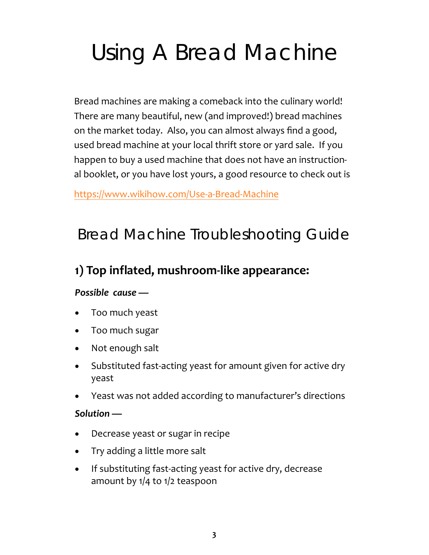**3) Add additional liquid, 1 tbsp.** at a time, if the dough seems too dry. Your dough should be soft, moist and pull away from the sides of the bowl after re-kneading.

**4) Add an additional rising cycle.** Good tasting bread depends on a long, slow rising process but bread dough rises as much as 25% to 50% faster in high altitude locations. Bread dough that rises rap‐ idly will have a strong yeast‐flavor and a dry texture. For the best flavor, allow enough time for 2 separate rising cycles and never let the dough rise more than twice its size each time.

Suggestion: Reduce the amount of rising time the recipe calls for by about 15 minutes or until the bread has reached nearly twice its size.

Punch down your dough after the first rising cycle is over. Set into a bowl and allow it to rise again but for half the time of the first cycle.

**5) Subtract 1 degree of baking temperature for every 500 feet above sea level.** At altitude, heat molecules don't have enough energy inside them which results in a lower boiling point but also makes food take longer to cook. Baking at a higher temperature will set the bread structure quickly and stop dough from rising more.

#### **6) Use less yeast if all other altitude baking adjustments fail to provide firm bread dough that doesn't collapse after rising and baking.**

Suggestion: Reduce the yeast by 1/8 tsp. to see if you get a firmer bread dough. If you are unhappy with your finished bread, de‐ crease yeast by another 1/8 tsp. each time you attempt the recipe until you are happy with the finished product.

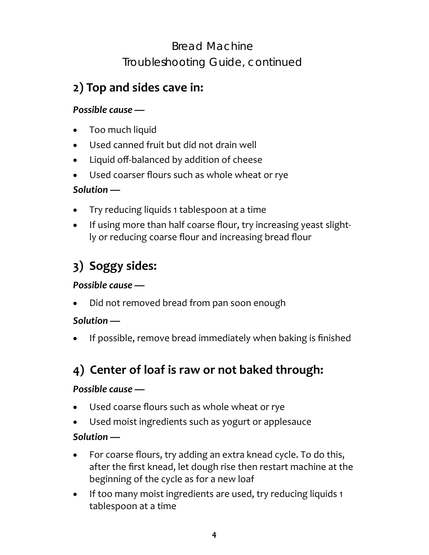# <span id="page-7-0"></span>Using A Bread Machine

Bread machines are making a comeback into the culinary world! There are many beautiful, new (and improved!) bread machines on the market today. Also, you can almost always find a good, used bread machine at your local thrift store or yard sale. If you happen to buy a used machine that does not have an instruction‐ al booklet, or you have lost yours, a good resource to check out is

https[://www.wikihow.com/Use](https://www.wikihow.com/Use-a-Bread-Machine)‐a‐Bread‐Machine

### Bread Machine Troubleshooting Guide

### **1) Top inflated, mushroom‐like appearance:**

#### *Possible cause —*

- Too much yeast
- Too much sugar
- Not enough salt
- Substituted fast-acting yeast for amount given for active dry yeast
- Yeast was not added according to manufacturer's directions

#### *Solution —*

- Decrease yeast or sugar in recipe
- Try adding a little more salt
- If substituting fast-acting yeast for active dry, decrease amount by 1/4 to 1/2 teaspoon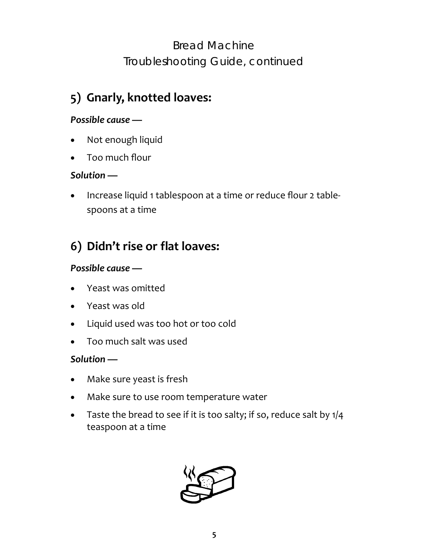### Bread Machine Troubleshooting Guide, continued

### **2) Top and sides cave in:**

#### *Possible cause —*

- Too much liquid
- Used canned fruit but did not drain well
- Liquid off-balanced by addition of cheese
- Used coarser flours such as whole wheat or rye

#### *Solution —*

- Try reducing liquids 1 tablespoon at a time
- If using more than half coarse flour, try increasing yeast slightly or reducing coarse flour and increasing bread flour

### **3) Soggy sides:**

#### *Possible cause —*

Did not removed bread from pan soon enough

#### *Solution —*

If possible, remove bread immediately when baking is finished

### **4) Center of loaf is raw or not baked through:**

#### *Possible cause —*

- Used coarse flours such as whole wheat or rye
- Used moist ingredients such as yogurt or applesauce

#### *Solution —*

- For coarse flours, try adding an extra knead cycle. To do this, after the first knead, let dough rise then restart machine at the beginning of the cycle as for a new loaf
- If too many moist ingredients are used, try reducing liquids 1 tablespoon at a time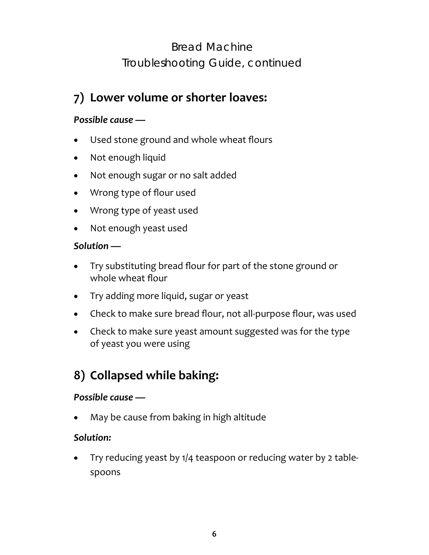### Bread Machine Troubleshooting Guide, continued

### **5) Gnarly, knotted loaves:**

#### *Possible cause —*

- Not enough liquid
- Too much flour

#### *Solution —*

 Increase liquid 1 tablespoon at a time or reduce flour 2 table‐ spoons at a time

### **6) Didn't rise or flat loaves:**

#### *Possible cause —*

- Yeast was omitted
- Yeast was old
- Liquid used was too hot or too cold
- Too much salt was used

#### *Solution —*

- Make sure yeast is fresh
- Make sure to use room temperature water
- Taste the bread to see if it is too salty; if so, reduce salt by 1/4 teaspoon at a time

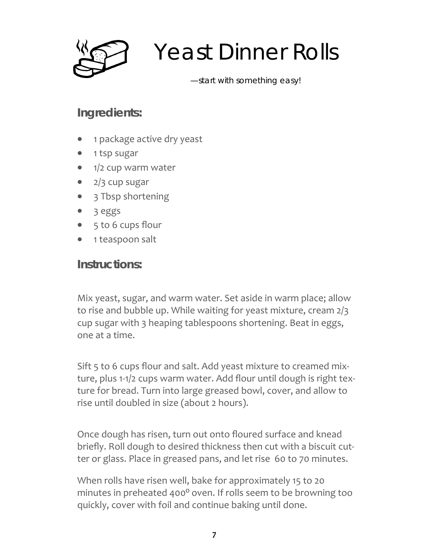### Bread Machine Troubleshooting Guide, continued

### **7) Lower volume or shorter loaves:**

#### *Possible cause —*

- Used stone ground and whole wheat flours
- Not enough liquid
- Not enough sugar or no salt added
- Wrong type of flour used
- Wrong type of yeast used
- Not enough yeast used

#### *Solution —*

- Try substituting bread flour for part of the stone ground or whole wheat flour
- Try adding more liquid, sugar or yeast
- Check to make sure bread flour, not all‐purpose flour, was used
- Check to make sure yeast amount suggested was for the type of yeast you were using

### **8) Collapsed while baking:**

#### *Possible cause —*

May be cause from baking in high altitude

#### *Solution:*

 Try reducing yeast by 1/4 teaspoon or reducing water by 2 table‐ spoons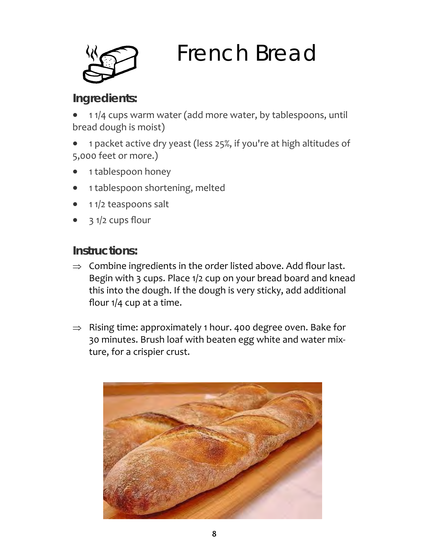<span id="page-11-0"></span>Yeast Dinner Rolls

—*start with something easy!* 

#### **Ingredients:**

- 1 package active dry yeast
- 1 tsp sugar
- $\bullet$  1/2 cup warm water
- $\bullet$  2/3 cup sugar
- 3 Tbsp shortening
- 3 eggs
- 5 to 6 cups flour
- 1 teaspoon salt

#### **Instructions:**

Mix yeast, sugar, and warm water. Set aside in warm place; allow to rise and bubble up. While waiting for yeast mixture, cream 2/3 cup sugar with 3 heaping tablespoons shortening. Beat in eggs, one at a time.

Sift 5 to 6 cups flour and salt. Add yeast mixture to creamed mix‐ ture, plus 1-1/2 cups warm water. Add flour until dough is right texture for bread. Turn into large greased bowl, cover, and allow to rise until doubled in size (about 2 hours).

Once dough has risen, turn out onto floured surface and knead briefly. Roll dough to desired thickness then cut with a biscuit cut‐ ter or glass. Place in greased pans, and let rise 60 to 70 minutes.

When rolls have risen well, bake for approximately 15 to 20 minutes in preheated 400º oven. If rolls seem to be browning too quickly, cover with foil and continue baking until done.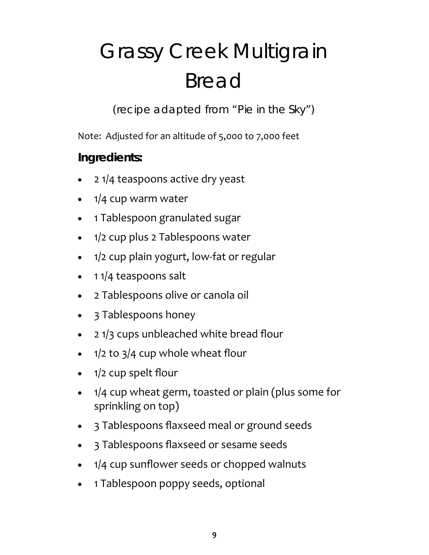<span id="page-12-0"></span>

### French Bread

#### **Ingredients:**

 1 1/4 cups warm water (add more water, by tablespoons, until bread dough is moist)

- 1 packet active dry yeast (less 25%, if you're at high altitudes of 5,000 feet or more.)
- 1 tablespoon honey
- 1 tablespoon shortening, melted
- 1 1/2 teaspoons salt
- 3 1/2 cups flour

#### **Instructions:**

- $\Rightarrow$  Combine ingredients in the order listed above. Add flour last. Begin with 3 cups. Place 1/2 cup on your bread board and knead this into the dough. If the dough is very sticky, add additional flour 1/4 cup at a time.
- $\Rightarrow$  Rising time: approximately 1 hour. 400 degree oven. Bake for 30 minutes. Brush loaf with beaten egg white and water mix‐ ture, for a crispier crust.

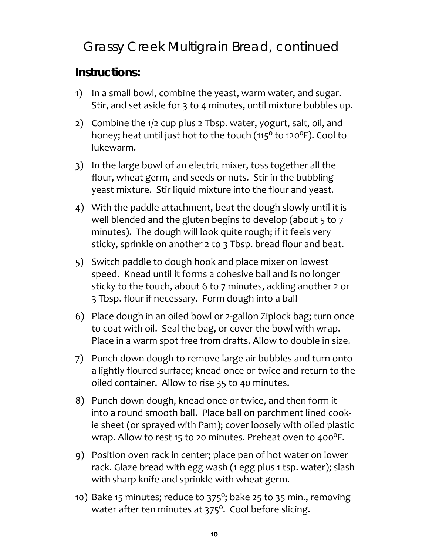# <span id="page-13-0"></span>Grassy Creek Multigrain Bread

*(recipe adapted from "Pie in the Sky")* 

Note: Adjusted for an altitude of 5,000 to 7,000 feet

#### **Ingredients:**

- 2 1/4 teaspoons active dry yeast
- $\bullet$  1/4 cup warm water
- 1 Tablespoon granulated sugar
- 1/2 cup plus 2 Tablespoons water
- 1/2 cup plain yogurt, low-fat or regular
- 11/4 teaspoons salt
- 2 Tablespoons olive or canola oil
- 3 Tablespoons honey
- 2 1/3 cups unbleached white bread flour
- $\cdot$  1/2 to 3/4 cup whole wheat flour
- 1/2 cup spelt flour
- 1/4 cup wheat germ, toasted or plain (plus some for sprinkling on top)
- 3 Tablespoons flaxseed meal or ground seeds
- 3 Tablespoons flaxseed or sesame seeds
- 1/4 cup sunflower seeds or chopped walnuts
- 1 Tablespoon poppy seeds, optional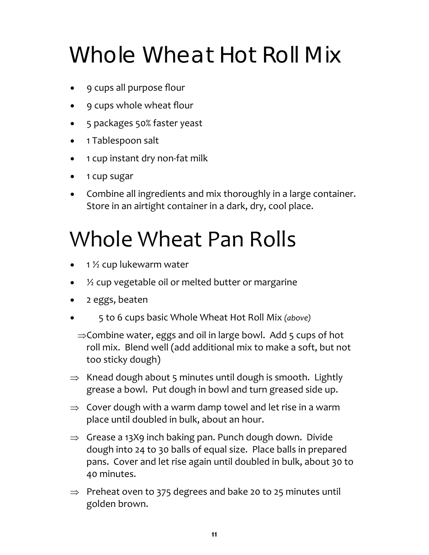### Grassy Creek Multigrain Bread, continued

#### **Instructions:**

- 1) In a small bowl, combine the yeast, warm water, and sugar. Stir, and set aside for 3 to 4 minutes, until mixture bubbles up.
- 2) Combine the 1/2 cup plus 2 Tbsp. water, yogurt, salt, oil, and honey; heat until just hot to the touch (115<sup>0</sup> to 120<sup>0</sup>F). Cool to lukewarm.
- 3) In the large bowl of an electric mixer, toss together all the flour, wheat germ, and seeds or nuts. Stir in the bubbling yeast mixture. Stir liquid mixture into the flour and yeast.
- 4) With the paddle attachment, beat the dough slowly until it is well blended and the gluten begins to develop (about 5 to 7 minutes). The dough will look quite rough; if it feels very sticky, sprinkle on another 2 to 3 Tbsp. bread flour and beat.
- 5) Switch paddle to dough hook and place mixer on lowest speed. Knead until it forms a cohesive ball and is no longer sticky to the touch, about 6 to 7 minutes, adding another 2 or 3 Tbsp. flour if necessary. Form dough into a ball
- 6) Place dough in an oiled bowl or 2‐gallon Ziplock bag; turn once to coat with oil. Seal the bag, or cover the bowl with wrap. Place in a warm spot free from drafts. Allow to double in size.
- 7) Punch down dough to remove large air bubbles and turn onto a lightly floured surface; knead once or twice and return to the oiled container. Allow to rise 35 to 40 minutes.
- 8) Punch down dough, knead once or twice, and then form it into a round smooth ball. Place ball on parchment lined cook‐ ie sheet (or sprayed with Pam); cover loosely with oiled plastic wrap. Allow to rest 15 to 20 minutes. Preheat oven to 400ºF.
- 9) Position oven rack in center; place pan of hot water on lower rack. Glaze bread with egg wash (1 egg plus 1 tsp. water); slash with sharp knife and sprinkle with wheat germ.
- 10) Bake 15 minutes; reduce to  $375^\circ$ ; bake 25 to 35 min., removing water after ten minutes at 375º. Cool before slicing.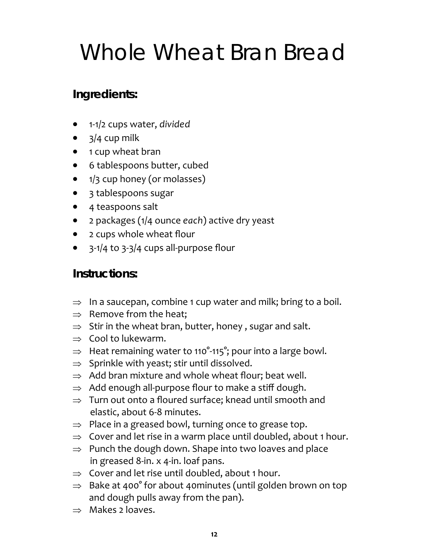# <span id="page-15-0"></span>Whole Wheat Hot Roll Mix

- 9 cups all purpose flour
- 9 cups whole wheat flour
- 5 packages 50% faster yeast
- 1 Tablespoon salt
- 1 cup instant dry non-fat milk
- 1 cup sugar
- Combine all ingredients and mix thoroughly in a large container. Store in an airtight container in a dark, dry, cool place.

# Whole Wheat Pan Rolls

- $\bullet$  1 % cup lukewarm water
- 2 cup vegetable oil or melted butter or margarine
- 2 eggs, beaten
- 5 to 6 cups basic Whole Wheat Hot Roll Mix *(above)*
	- ⇒Combine water, eggs and oil in large bowl. Add 5 cups of hot roll mix. Blend well (add additional mix to make a soft, but not too sticky dough)
- $\Rightarrow$  Knead dough about 5 minutes until dough is smooth. Lightly grease a bowl. Put dough in bowl and turn greased side up.
- $\Rightarrow$  Cover dough with a warm damp towel and let rise in a warm place until doubled in bulk, about an hour.
- $\Rightarrow$  Grease a 13X9 inch baking pan. Punch dough down. Divide dough into 24 to 30 balls of equal size. Place balls in prepared pans. Cover and let rise again until doubled in bulk, about 30 to 40 minutes.
- $\Rightarrow$  Preheat oven to 375 degrees and bake 20 to 25 minutes until golden brown.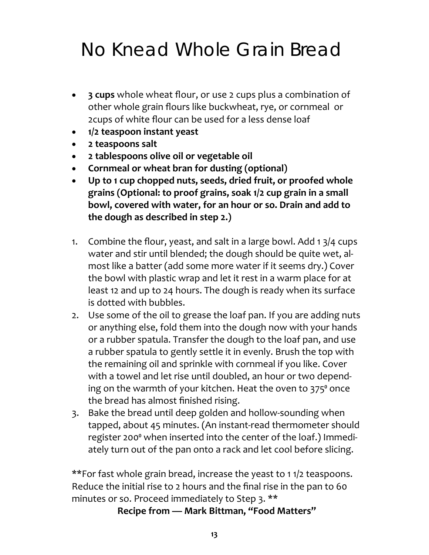# <span id="page-16-0"></span>Whole Wheat Bran Bread

#### **Ingredients:**

- 1-1/2 cups water, *divided*
- $\bullet$  3/4 cup milk
- 1 cup wheat bran
- 6 tablespoons butter, cubed
- 1/3 cup honey (or molasses)
- 3 tablespoons sugar
- 4 teaspoons salt
- 2 packages (1/4 ounce *each*) active dry yeast
- 2 cups whole wheat flour
- 3-1/4 to 3-3/4 cups all-purpose flour

#### **Instructions:**

- $\Rightarrow$  In a saucepan, combine 1 cup water and milk; bring to a boil.
- $\Rightarrow$  Remove from the heat;
- $\Rightarrow$  Stir in the wheat bran, butter, honey, sugar and salt.
- $\Rightarrow$  Cool to lukewarm.
- $\Rightarrow$  Heat remaining water to 110°-115°; pour into a large bowl.
- $\Rightarrow$  Sprinkle with yeast; stir until dissolved.
- $\Rightarrow$  Add bran mixture and whole wheat flour; beat well.
- $\Rightarrow$  Add enough all-purpose flour to make a stiff dough.
- $\Rightarrow$  Turn out onto a floured surface; knead until smooth and elastic, about 6‐8 minutes.
- $\Rightarrow$  Place in a greased bowl, turning once to grease top.
- $\Rightarrow$  Cover and let rise in a warm place until doubled, about 1 hour.
- $\Rightarrow$  Punch the dough down. Shape into two loaves and place in greased 8‐in. x 4‐in. loaf pans.
- $\Rightarrow$  Cover and let rise until doubled, about 1 hour.
- $\Rightarrow$  Bake at 400° for about 40 minutes (until golden brown on top and dough pulls away from the pan).
- $\Rightarrow$  Makes 2 loaves.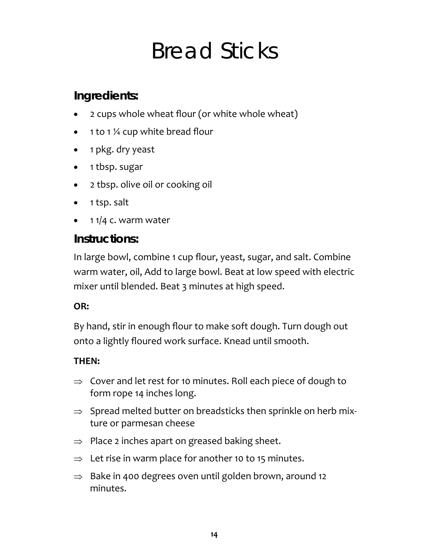### <span id="page-17-0"></span>No Knead Whole Grain Bread

- **3 cups** whole wheat flour, or use 2 cups plus a combination of other whole grain flours like buckwheat, rye, or cornmeal or 2cups of white flour can be used for a less dense loaf
- **1/2 teaspoon instant yeast**
- **2 teaspoons salt**
- **2 tablespoons olive oil or vegetable oil**
- **Cornmeal or wheat bran for dusting (optional)**
- **Up to 1 cup chopped nuts, seeds, dried fruit, or proofed whole grains (Optional: to proof grains, soak 1/2 cup grain in a small bowl, covered with water, for an hour or so. Drain and add to the dough as described in step 2.)**
- 1. Combine the flour, yeast, and salt in a large bowl. Add 1 3/4 cups water and stir until blended; the dough should be quite wet, almost like a batter (add some more water if it seems dry.) Cover the bowl with plastic wrap and let it rest in a warm place for at least 12 and up to 24 hours. The dough is ready when its surface is dotted with bubbles.
- 2. Use some of the oil to grease the loaf pan. If you are adding nuts or anything else, fold them into the dough now with your hands or a rubber spatula. Transfer the dough to the loaf pan, and use a rubber spatula to gently settle it in evenly. Brush the top with the remaining oil and sprinkle with cornmeal if you like. Cover with a towel and let rise until doubled, an hour or two depend‐ ing on the warmth of your kitchen. Heat the oven to  $375^{\circ}$  once the bread has almost finished rising.
- 3. Bake the bread until deep golden and hollow‐sounding when tapped, about 45 minutes. (An instant‐read thermometer should register 200<sup>°</sup> when inserted into the center of the loaf.) Immediately turn out of the pan onto a rack and let cool before slicing.

\*\*For fast whole grain bread, increase the yeast to 1 1/2 teaspoons. Reduce the initial rise to 2 hours and the final rise in the pan to 60 minutes or so. Proceed immediately to Step 3. \*\*

**Recipe from — Mark Bittman, "Food Matters"**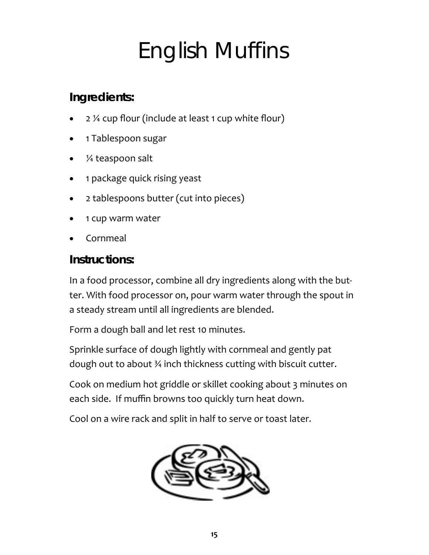# Bread Sticks

#### <span id="page-18-0"></span>**Ingredients:**

- 2 cups whole wheat flour (or white whole wheat)
- $\bullet$  1 to 1  $\frac{1}{4}$  cup white bread flour
- 1 pkg. dry yeast
- 1 tbsp. sugar
- 2 tbsp. olive oil or cooking oil
- $\bullet$  1 tsp. salt
- $\bullet$  11/4 c. warm water

#### **Instructions:**

In large bowl, combine 1 cup flour, yeast, sugar, and salt. Combine warm water, oil, Add to large bowl. Beat at low speed with electric mixer until blended. Beat 3 minutes at high speed.

#### **OR:**

By hand, stir in enough flour to make soft dough. Turn dough out onto a lightly floured work surface. Knead until smooth.

#### **THEN:**

- $\Rightarrow$  Cover and let rest for 10 minutes. Roll each piece of dough to form rope 14 inches long.
- $\Rightarrow$  Spread melted butter on breadsticks then sprinkle on herb mixture or parmesan cheese
- $\Rightarrow$  Place 2 inches apart on greased baking sheet.
- $\Rightarrow$  Let rise in warm place for another 10 to 15 minutes.
- $\Rightarrow$  Bake in 400 degrees oven until golden brown, around 12 minutes.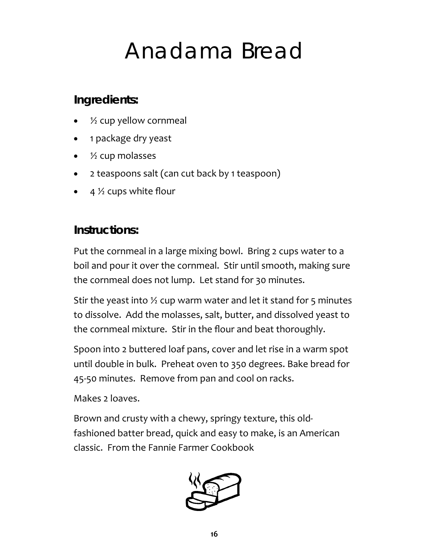# English Muffins

#### <span id="page-19-0"></span>**Ingredients:**

- 2 ¼ cup flour (include at least 1 cup white flour)
- 1 Tablespoon sugar
- ¼ teaspoon salt
- 1 package quick rising yeast
- 2 tablespoons butter (cut into pieces)
- 1 cup warm water
- Cornmeal

#### **Instructions:**

In a food processor, combine all dry ingredients along with the but‐ ter. With food processor on, pour warm water through the spout in a steady stream until all ingredients are blended.

Form a dough ball and let rest 10 minutes.

Sprinkle surface of dough lightly with cornmeal and gently pat dough out to about ¾ inch thickness cutting with biscuit cutter.

Cook on medium hot griddle or skillet cooking about 3 minutes on each side. If muffin browns too quickly turn heat down.

Cool on a wire rack and split in half to serve or toast later.

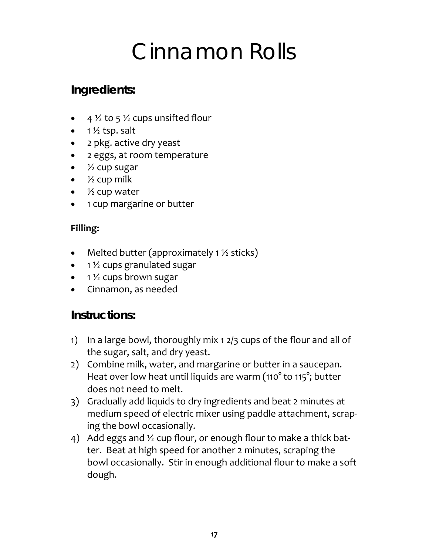# Anadama Bread

#### <span id="page-20-0"></span>**Ingredients:**

- ½ cup yellow cornmeal
- 1 package dry yeast
- $\frac{1}{2}$  cup molasses
- 2 teaspoons salt (can cut back by 1 teaspoon)
- $\bullet$  4  $\%$  cups white flour

#### **Instructions:**

Put the cornmeal in a large mixing bowl. Bring 2 cups water to a boil and pour it over the cornmeal. Stir until smooth, making sure the cornmeal does not lump. Let stand for 30 minutes.

Stir the yeast into  $\frac{1}{2}$  cup warm water and let it stand for 5 minutes to dissolve. Add the molasses, salt, butter, and dissolved yeast to the cornmeal mixture. Stir in the flour and beat thoroughly.

Spoon into 2 buttered loaf pans, cover and let rise in a warm spot until double in bulk. Preheat oven to 350 degrees. Bake bread for 45‐50 minutes. Remove from pan and cool on racks.

Makes 2 loaves.

Brown and crusty with a chewy, springy texture, this old‐ fashioned batter bread, quick and easy to make, is an American classic. From the Fannie Farmer Cookbook

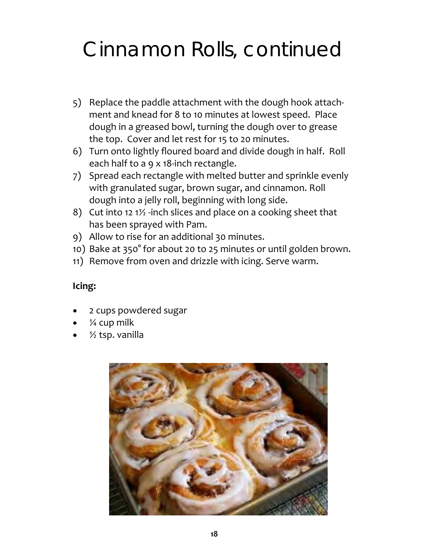# Cinnamon Rolls

#### <span id="page-21-0"></span>**Ingredients:**

- $4\frac{1}{2}$  to 5  $\frac{1}{2}$  cups unsifted flour
- $\bullet$  1 % tsp. salt
- 2 pkg. active dry yeast
- 2 eggs, at room temperature
- 1/2 cup sugar
- $\bullet$  % cup milk
- $\bullet$  % cup water
- 1 cup margarine or butter

#### **Filling:**

- Melted butter (approximately  $1\frac{1}{2}$  sticks)
- $\bullet$  1 % cups granulated sugar
- $\bullet$  1 % cups brown sugar
- Cinnamon, as needed

#### **Instructions:**

- 1) In a large bowl, thoroughly mix 1 2/3 cups of the flour and all of the sugar, salt, and dry yeast.
- 2) Combine milk, water, and margarine or butter in a saucepan. Heat over low heat until liquids are warm (110° to 115°; butter does not need to melt.
- 3) Gradually add liquids to dry ingredients and beat 2 minutes at medium speed of electric mixer using paddle attachment, scrap‐ ing the bowl occasionally.
- 4) Add eggs and  $\frac{1}{2}$  cup flour, or enough flour to make a thick batter. Beat at high speed for another 2 minutes, scraping the bowl occasionally. Stir in enough additional flour to make a soft dough.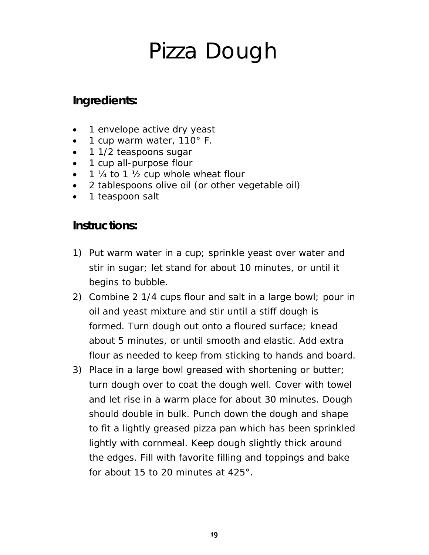## Cinnamon Rolls, continued

- 5) Replace the paddle attachment with the dough hook attach‐ ment and knead for 8 to 10 minutes at lowest speed. Place dough in a greased bowl, turning the dough over to grease the top. Cover and let rest for 15 to 20 minutes.
- 6) Turn onto lightly floured board and divide dough in half. Roll each half to a 9 x 18-inch rectangle.
- 7) Spread each rectangle with melted butter and sprinkle evenly with granulated sugar, brown sugar, and cinnamon. Roll dough into a jelly roll, beginning with long side.
- 8) Cut into 12 1<sup>1</sup>/<sub>2</sub> -inch slices and place on a cooking sheet that has been sprayed with Pam.
- 9) Allow to rise for an additional 30 minutes.
- 10) Bake at 350° for about 20 to 25 minutes or until golden brown.
- 11) Remove from oven and drizzle with icing. Serve warm.

#### **Icing:**

- 2 cups powdered sugar
- ¼ cup milk
- ½ tsp. vanilla

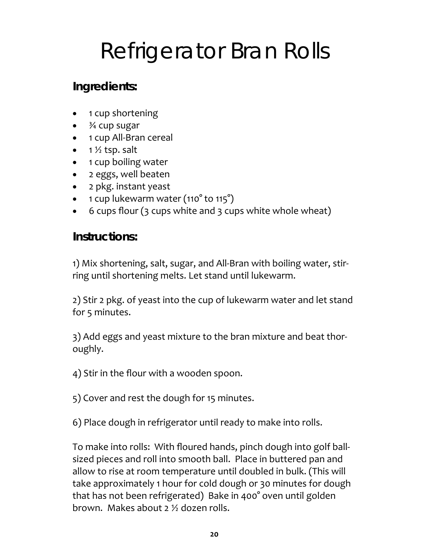# Pizza Dough

#### <span id="page-23-0"></span>**Ingredients:**

- 1 envelope active dry yeast
- 1 cup warm water, 110° F.
- 1 1/2 teaspoons sugar
- 1 cup all-purpose flour
- 1  $\frac{1}{4}$  to 1  $\frac{1}{2}$  cup whole wheat flour
- 2 tablespoons olive oil (or other vegetable oil)
- 1 teaspoon salt

#### **Instructions:**

- 1) Put warm water in a cup; sprinkle yeast over water and stir in sugar; let stand for about 10 minutes, or until it begins to bubble.
- 2) Combine 2 1/4 cups flour and salt in a large bowl; pour in oil and yeast mixture and stir until a stiff dough is formed. Turn dough out onto a floured surface; knead about 5 minutes, or until smooth and elastic. Add extra flour as needed to keep from sticking to hands and board.
- 3) Place in a large bowl greased with shortening or butter; turn dough over to coat the dough well. Cover with towel and let rise in a warm place for about 30 minutes. Dough should double in bulk. Punch down the dough and shape to fit a lightly greased pizza pan which has been sprinkled lightly with cornmeal. Keep dough slightly thick around the edges. Fill with favorite filling and toppings and bake for about 15 to 20 minutes at 425°.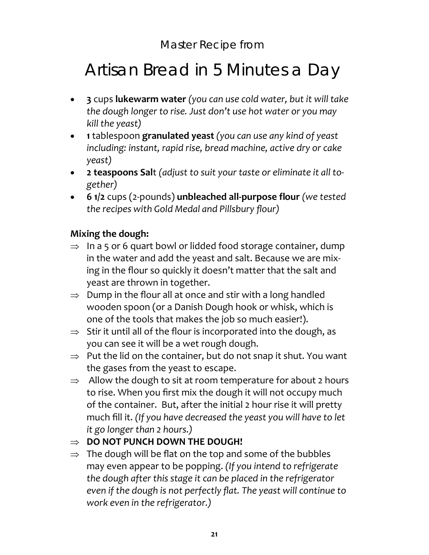# <span id="page-24-0"></span>Refrigerator Bran Rolls

#### **Ingredients:**

- 1 cup shortening
- $\bullet$   $\frac{3}{4}$  cup sugar
- 1 cup All-Bran cereal
- $\bullet$  1 % tsp. salt
- 1 cup boiling water
- 2 eggs, well beaten
- 2 pkg. instant yeast
- 1 cup lukewarm water  $(110^{\circ}$  to  $115^{\circ})$
- 6 cups flour (3 cups white and 3 cups white whole wheat)

#### **Instructions:**

1) Mix shortening, salt, sugar, and All‐Bran with boiling water, stir‐ ring until shortening melts. Let stand until lukewarm.

2) Stir 2 pkg. of yeast into the cup of lukewarm water and let stand for 5 minutes.

3) Add eggs and yeast mixture to the bran mixture and beat thor‐ oughly.

4) Stir in the flour with a wooden spoon.

5) Cover and rest the dough for 15 minutes.

6) Place dough in refrigerator until ready to make into rolls.

To make into rolls: With floured hands, pinch dough into golf ball‐ sized pieces and roll into smooth ball. Place in buttered pan and allow to rise at room temperature until doubled in bulk. (This will take approximately 1 hour for cold dough or 30 minutes for dough that has not been refrigerated) Bake in 400° oven until golden brown. Makes about 2 ½ dozen rolls.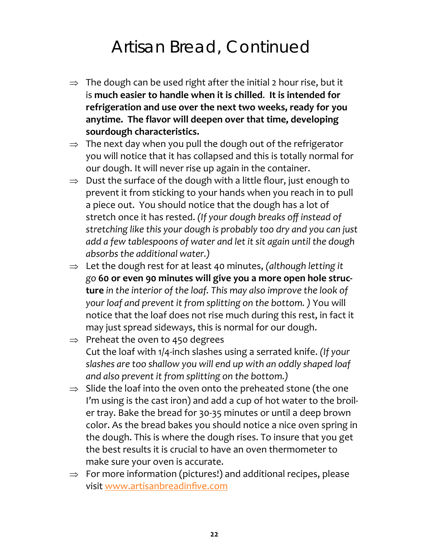### <span id="page-25-0"></span>Artisan Bread in 5 Minutes a Day

- **3** cups **lukewarm water** *(you can use cold water, but it will take the dough longer to rise. Just don't use hot water or you may kill the yeast)*
- **1** tablespoon **granulated yeast** *(you can use any kind of yeast including: instant, rapid rise, bread machine, active dry or cake yeast)*
- **2 teaspoons Sal**t *(adjust to suit your taste or eliminate it all to‐ gether)*
- **6 1/2** cups (2‐pounds) **unbleached all‐purpose flour** *(we tested the recipes with Gold Medal and Pillsbury flour)*

#### **Mixing the dough:**

- $\Rightarrow$  In a 5 or 6 quart bowl or lidded food storage container, dump in the water and add the yeast and salt. Because we are mix‐ ing in the flour so quickly it doesn't matter that the salt and yeast are thrown in together.
- $\Rightarrow$  Dump in the flour all at once and stir with a long handled wooden spoon (or a Danish Dough hook or whisk, which is one of the tools that makes the job so much easier!).
- $\Rightarrow$  Stir it until all of the flour is incorporated into the dough, as you can see it will be a wet rough dough.
- $\Rightarrow$  Put the lid on the container, but do not snap it shut. You want the gases from the yeast to escape.
- $\Rightarrow$  Allow the dough to sit at room temperature for about 2 hours to rise. When you first mix the dough it will not occupy much of the container. But, after the initial 2 hour rise it will pretty much fill it. *(If you have decreased the yeast you will have to let it go longer than 2 hours.)*
- $\Rightarrow$  DO NOT PUNCH DOWN THE DOUGH!
- $\Rightarrow$  The dough will be flat on the top and some of the bubbles may even appear to be popping. *(If you intend to refrigerate the dough after this stage it can be placed in the refrigerator even if the dough is not perfectly flat. The yeast will continue to work even in the refrigerator.)*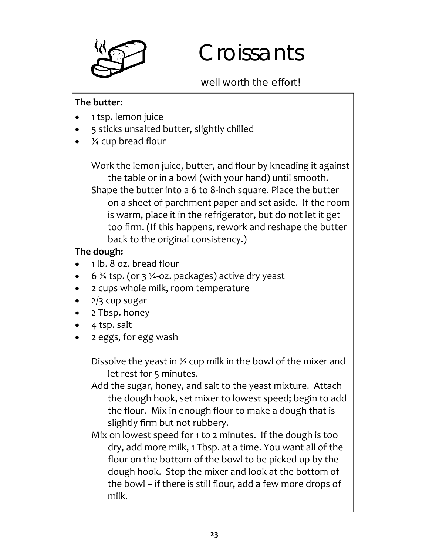### Artisan Bread, Continued

- $\Rightarrow$  The dough can be used right after the initial 2 hour rise, but it is **much easier to handle when it is chilled**. **It is intended for refrigeration and use over the next two weeks, ready for you anytime. The flavor will deepen over that time, developing sourdough characteristics.**
- $\Rightarrow$  The next day when you pull the dough out of the refrigerator you will notice that it has collapsed and this is totally normal for our dough. It will never rise up again in the container.
- $\Rightarrow$  Dust the surface of the dough with a little flour, just enough to prevent it from sticking to your hands when you reach in to pull a piece out. You should notice that the dough has a lot of stretch once it has rested. *(If your dough breaks off instead of stretching like this your dough is probably too dry and you can just add a few tablespoons of water and let it sit again until the dough absorbs the additional water.)*
- $\Rightarrow$  Let the dough rest for at least 40 minutes, *(although letting it go* **60 or even 90 minutes will give you a more open hole struc‐ ture** *in the interior of the loaf. This may also improve the look of your loaf and prevent it from splitting on the bottom. )* You will notice that the loaf does not rise much during this rest, in fact it may just spread sideways, this is normal for our dough.
- $\Rightarrow$  Preheat the oven to 450 degrees Cut the loaf with 1/4‐inch slashes using a serrated knife. *(If your slashes are too shallow you will end up with an oddly shaped loaf and also prevent it from splitting on the bottom.)*
- $\Rightarrow$  Slide the loaf into the oven onto the preheated stone (the one I'm using is the cast iron) and add a cup of hot water to the broil‐ er tray. Bake the bread for 30‐35 minutes or until a deep brown color. As the bread bakes you should notice a nice oven spring in the dough. This is where the dough rises. To insure that you get the best results it is crucial to have an oven thermometer to make sure your oven is accurate.
- $\Rightarrow$  For more information (pictures!) and additional recipes, please visit<www.artisanbreadinfive.com>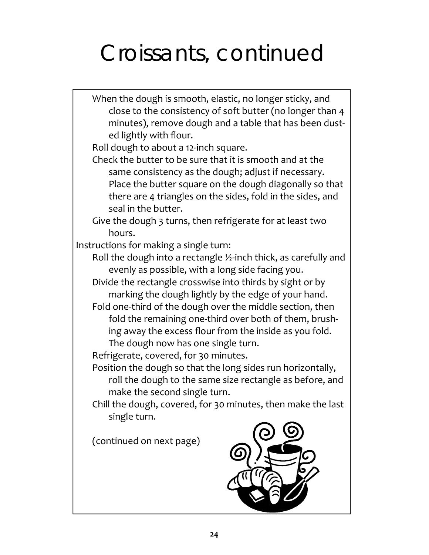<span id="page-27-0"></span>

### **Croissants**

#### *well worth the effort!*

#### **The butter:**

- 1 tsp. lemon juice
- 5 sticks unsalted butter, slightly chilled
- 1/4 cup bread flour

Work the lemon juice, butter, and flour by kneading it against the table or in a bowl (with your hand) until smooth. Shape the butter into a 6 to 8‐inch square. Place the butter on a sheet of parchment paper and set aside. If the room is warm, place it in the refrigerator, but do not let it get too firm. (If this happens, rework and reshape the butter back to the original consistency.)

#### **The dough:**

- 1 lb. 8 oz. bread flour
- 6  $\frac{3}{4}$  tsp. (or 3  $\frac{1}{4}$ -oz. packages) active dry yeast
- 2 cups whole milk, room temperature
- $\bullet$  2/3 cup sugar
- 2 Tbsp. honey
- $\bullet$  4 tsp. salt
- 2 eggs, for egg wash

Dissolve the yeast in  $\frac{1}{2}$  cup milk in the bowl of the mixer and let rest for 5 minutes.

Add the sugar, honey, and salt to the yeast mixture. Attach the dough hook, set mixer to lowest speed; begin to add the flour. Mix in enough flour to make a dough that is slightly firm but not rubbery.

Mix on lowest speed for 1 to 2 minutes. If the dough is too dry, add more milk, 1 Tbsp. at a time. You want all of the flour on the bottom of the bowl to be picked up by the dough hook. Stop the mixer and look at the bottom of the bowl – if there is still flour, add a few more drops of milk.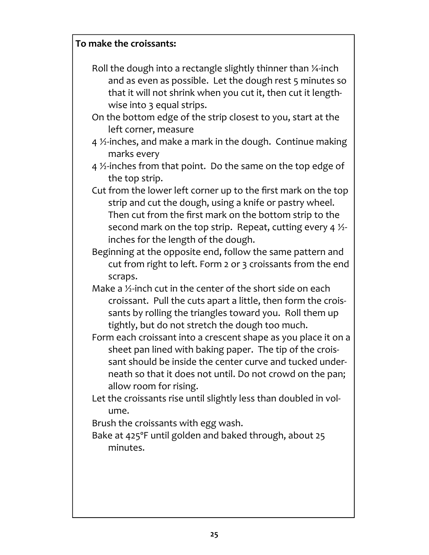# Croissants, continued

When the dough is smooth, elastic, no longer sticky, and close to the consistency of soft butter (no longer than 4 minutes), remove dough and a table that has been dusted lightly with flour.

Roll dough to about a 12‐inch square.

Check the butter to be sure that it is smooth and at the same consistency as the dough; adjust if necessary. Place the butter square on the dough diagonally so that there are 4 triangles on the sides, fold in the sides, and seal in the butter.

Give the dough 3 turns, then refrigerate for at least two hours.

Instructions for making a single turn:

Roll the dough into a rectangle ½-inch thick, as carefully and evenly as possible, with a long side facing you.

Divide the rectangle crosswise into thirds by sight or by marking the dough lightly by the edge of your hand.

Fold one-third of the dough over the middle section, then fold the remaining one‐third over both of them, brush‐ ing away the excess flour from the inside as you fold. The dough now has one single turn.

Refrigerate, covered, for 30 minutes.

Position the dough so that the long sides run horizontally, roll the dough to the same size rectangle as before, and make the second single turn.

Chill the dough, covered, for 30 minutes, then make the last single turn.

(continued on next page)

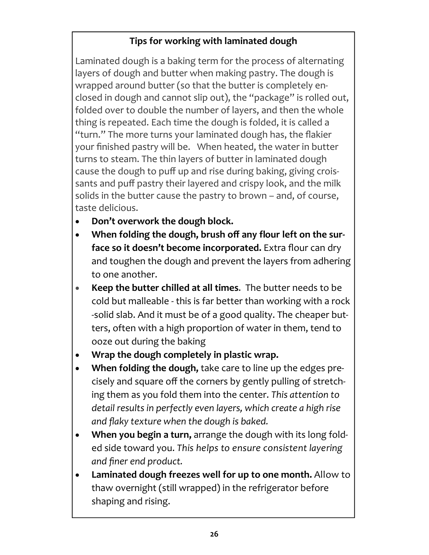#### **To make the croissants:**

Roll the dough into a rectangle slightly thinner than ¼‐inch and as even as possible. Let the dough rest 5 minutes so that it will not shrink when you cut it, then cut it length‐ wise into 3 equal strips.

On the bottom edge of the strip closest to you, start at the left corner, measure

4 ½‐inches, and make a mark in the dough. Continue making marks every

4 ½‐inches from that point. Do the same on the top edge of the top strip.

Cut from the lower left corner up to the first mark on the top strip and cut the dough, using a knife or pastry wheel. Then cut from the first mark on the bottom strip to the second mark on the top strip. Repeat, cutting every 4  $\frac{1}{2}$ inches for the length of the dough.

Beginning at the opposite end, follow the same pattern and cut from right to left. Form 2 or 3 croissants from the end scraps.

Make a  $\frac{1}{2}$ -inch cut in the center of the short side on each croissant. Pull the cuts apart a little, then form the crois‐ sants by rolling the triangles toward you. Roll them up tightly, but do not stretch the dough too much.

Form each croissant into a crescent shape as you place it on a sheet pan lined with baking paper. The tip of the crois‐ sant should be inside the center curve and tucked under‐ neath so that it does not until. Do not crowd on the pan; allow room for rising.

Let the croissants rise until slightly less than doubled in volume.

Brush the croissants with egg wash.

Bake at 425ºF until golden and baked through, about 25 minutes.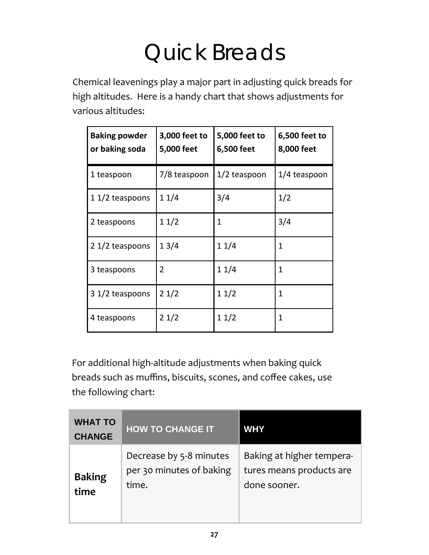#### **Tips for working with laminated dough**

Laminated dough is a baking term for the process of alternating layers of dough and butter when making pastry. The dough is wrapped around butter (so that the butter is completely en‐ closed in dough and cannot slip out), the "package" is rolled out, folded over to double the number of layers, and then the whole thing is repeated. Each time the dough is folded, it is called a "turn." The more turns your laminated dough has, the flakier your finished pastry will be. When heated, the water in butter turns to steam. The thin layers of butter in laminated dough cause the dough to puff up and rise during baking, giving crois‐ sants and puff pastry their layered and crispy look, and the milk solids in the butter cause the pastry to brown – and, of course, taste delicious.

- **Don't overwork the dough block.**
- **When folding the dough, brush off any flour left on the sur‐ face so it doesn't become incorporated.** Extra flour can dry and toughen the dough and prevent the layers from adhering to one another.
- **Keep the butter chilled at all times**. The butter needs to be cold but malleable ‐ this is far better than working with a rock ‐solid slab. And it must be of a good quality. The cheaper but‐ ters, often with a high proportion of water in them, tend to ooze out during the baking
- **Wrap the dough completely in plastic wrap.**
- **When folding the dough,** take care to line up the edges pre‐ cisely and square off the corners by gently pulling of stretch‐ ing them as you fold them into the center. *This attention to detail results in perfectly even layers, which create a high rise and flaky texture when the dough is baked.*
- **When you begin a turn,** arrange the dough with its long fold‐ ed side toward you. *This helps to ensure consistent layering and finer end product.*
- **Laminated dough freezes well for up to one month.** Allow to thaw overnight (still wrapped) in the refrigerator before shaping and rising.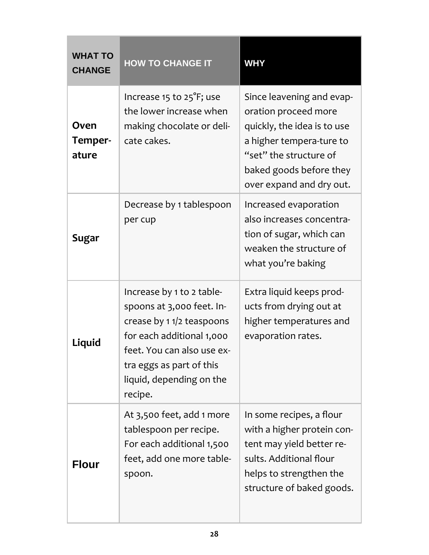# Quick Breads

<span id="page-31-0"></span>Chemical leavenings play a major part in adjusting quick breads for high altitudes. Here is a handy chart that shows adjustments for various altitudes:

| <b>Baking powder</b><br>or baking soda | 3,000 feet to<br>5,000 feet | 5,000 feet to<br>6,500 feet | 6,500 feet to<br>8,000 feet |
|----------------------------------------|-----------------------------|-----------------------------|-----------------------------|
| 1 teaspoon                             | 7/8 teaspoon                | $1/2$ teaspoon              | 1/4 teaspoon                |
| $11/2$ teaspoons                       | 11/4                        | 3/4                         | 1/2                         |
| 2 teaspoons                            | 11/2                        | 1                           | 3/4                         |
| 2 1/2 teaspoons                        | 13/4                        | 11/4                        | 1                           |
| 3 teaspoons                            | $\overline{2}$              | 11/4                        | $\mathbf{1}$                |
| 3 1/2 teaspoons                        | 21/2                        | 11/2                        | $\mathbf{1}$                |
| 4 teaspoons                            | 21/2                        | 11/2                        | $\mathbf{1}$                |

For additional high‐altitude adjustments when baking quick breads such as muffins, biscuits, scones, and coffee cakes, use the following chart:

| <b>WHAT TO</b><br><b>CHANGE</b> | <b>HOW TO CHANGE IT</b>                                      | <b>WHY</b>                                                            |
|---------------------------------|--------------------------------------------------------------|-----------------------------------------------------------------------|
| <b>Baking</b><br>time           | Decrease by 5-8 minutes<br>per 30 minutes of baking<br>time. | Baking at higher tempera-<br>tures means products are<br>done sooner. |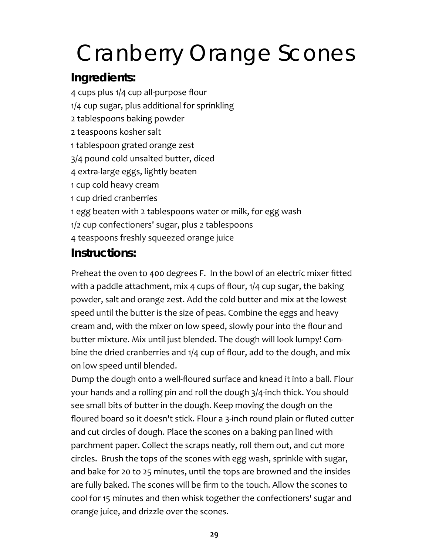| <b>WHAT TO</b><br><b>CHANGE</b> | <b>HOW TO CHANGE IT</b>                                                                                                                                                                                          | <b>WHY</b>                                                                                                                                                                                    |
|---------------------------------|------------------------------------------------------------------------------------------------------------------------------------------------------------------------------------------------------------------|-----------------------------------------------------------------------------------------------------------------------------------------------------------------------------------------------|
| Oven<br>Temper-<br>ature        | Increase 15 to 25°F; use<br>the lower increase when<br>making chocolate or deli-<br>cate cakes.                                                                                                                  | Since leavening and evap-<br>oration proceed more<br>quickly, the idea is to use<br>a higher tempera-ture to<br>"set" the structure of<br>baked goods before they<br>over expand and dry out. |
| Sugar                           | Decrease by 1 tablespoon<br>per cup                                                                                                                                                                              | Increased evaporation<br>also increases concentra-<br>tion of sugar, which can<br>weaken the structure of<br>what you're baking                                                               |
| Liquid                          | Increase by 1 to 2 table-<br>spoons at 3,000 feet. In-<br>crease by 11/2 teaspoons<br>for each additional 1,000<br>feet. You can also use ex-<br>tra eggs as part of this<br>liquid, depending on the<br>recipe. | Extra liquid keeps prod-<br>ucts from drying out at<br>higher temperatures and<br>evaporation rates.                                                                                          |
| <b>Flour</b>                    | At 3,500 feet, add 1 more<br>tablespoon per recipe.<br>For each additional 1,500<br>feet, add one more table-<br>spoon.                                                                                          | In some recipes, a flour<br>with a higher protein con-<br>tent may yield better re-<br>sults. Additional flour<br>helps to strengthen the<br>structure of baked goods.                        |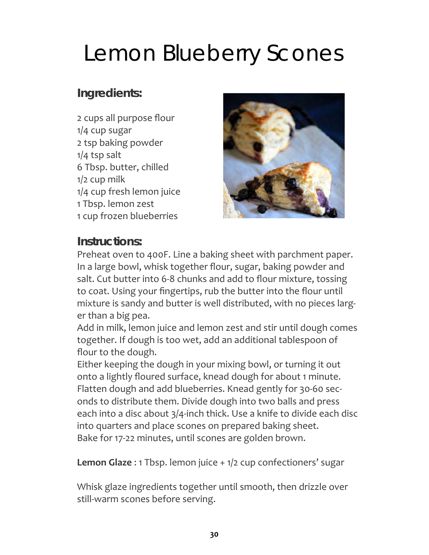# <span id="page-33-0"></span>Cranberry Orange Scones

#### **Ingredients:**

4 cups plus 1/4 cup all‐purpose flour 1/4 cup sugar, plus additional for sprinkling 2 tablespoons baking powder 2 teaspoons kosher salt 1 tablespoon grated orange zest 3/4 pound cold unsalted butter, diced 4 extra‐large eggs, lightly beaten 1 cup cold heavy cream 1 cup dried cranberries 1 egg beaten with 2 tablespoons water or milk, for egg wash 1/2 cup confectioners' sugar, plus 2 tablespoons 4 teaspoons freshly squeezed orange juice

#### **Instructions:**

Preheat the oven to 400 degrees F. In the bowl of an electric mixer fitted with a paddle attachment, mix 4 cups of flour,  $1/4$  cup sugar, the baking powder, salt and orange zest. Add the cold butter and mix at the lowest speed until the butter is the size of peas. Combine the eggs and heavy cream and, with the mixer on low speed, slowly pour into the flour and butter mixture. Mix until just blended. The dough will look lumpy! Com‐ bine the dried cranberries and 1/4 cup of flour, add to the dough, and mix on low speed until blended.

Dump the dough onto a well‐floured surface and knead it into a ball. Flour your hands and a rolling pin and roll the dough 3/4‐inch thick. You should see small bits of butter in the dough. Keep moving the dough on the floured board so it doesn't stick. Flour a 3‐inch round plain or fluted cutter and cut circles of dough. Place the scones on a baking pan lined with parchment paper. Collect the scraps neatly, roll them out, and cut more circles. Brush the tops of the scones with egg wash, sprinkle with sugar, and bake for 20 to 25 minutes, until the tops are browned and the insides are fully baked. The scones will be firm to the touch. Allow the scones to cool for 15 minutes and then whisk together the confectioners' sugar and orange juice, and drizzle over the scones.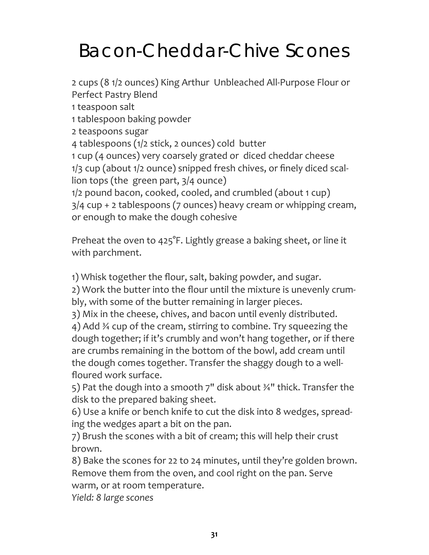# <span id="page-34-0"></span>Lemon Blueberry Scones

#### **Ingredients:**

2 cups all purpose flour 1/4 cup sugar 2 tsp baking powder 1/4 tsp salt 6 Tbsp. butter, chilled 1/2 cup milk 1/4 cup fresh lemon juice 1 Tbsp. lemon zest 1 cup frozen blueberries



#### **Instructions:**

Preheat oven to 400F. Line a baking sheet with parchment paper. In a large bowl, whisk together flour, sugar, baking powder and salt. Cut butter into 6‐8 chunks and add to flour mixture, tossing to coat. Using your fingertips, rub the butter into the flour until mixture is sandy and butter is well distributed, with no pieces larg‐ er than a big pea.

Add in milk, lemon juice and lemon zest and stir until dough comes together. If dough is too wet, add an additional tablespoon of flour to the dough.

Either keeping the dough in your mixing bowl, or turning it out onto a lightly floured surface, knead dough for about 1 minute. Flatten dough and add blueberries. Knead gently for 30‐60 sec‐ onds to distribute them. Divide dough into two balls and press each into a disc about 3/4‐inch thick. Use a knife to divide each disc into quarters and place scones on prepared baking sheet. Bake for 17‐22 minutes, until scones are golden brown.

**Lemon Glaze** : 1 Tbsp. lemon juice + 1/2 cup confectioners' sugar

Whisk glaze ingredients together until smooth, then drizzle over still‐warm scones before serving.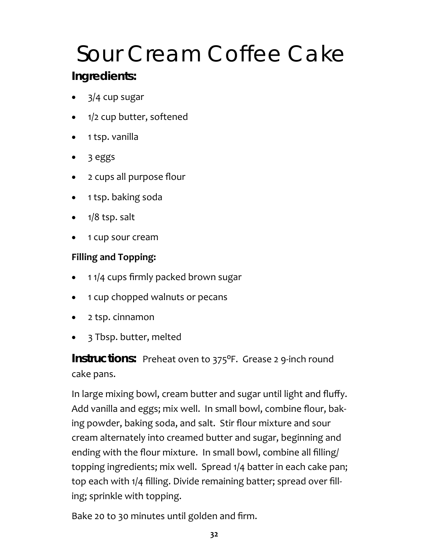### <span id="page-35-0"></span>Bacon-Cheddar-Chive Scones

2 cups (8 1/2 ounces) King Arthur Unbleached All‐Purpose Flour or Perfect Pastry Blend 1 teaspoon salt 1 tablespoon baking powder 2 teaspoons sugar 4 tablespoons (1/2 stick, 2 ounces) cold butter 1 cup (4 ounces) very coarsely grated or diced cheddar cheese 1/3 cup (about 1/2 ounce) snipped fresh chives, or finely diced scal‐ lion tops (the green part, 3/4 ounce) 1/2 pound bacon, cooked, cooled, and crumbled (about 1 cup) 3/4 cup + 2 tablespoons (7 ounces) heavy cream or whipping cream, or enough to make the dough cohesive

Preheat the oven to 425°F. Lightly grease a baking sheet, or line it with parchment.

1) Whisk together the flour, salt, baking powder, and sugar.

2) Work the butter into the flour until the mixture is unevenly crum‐ bly, with some of the butter remaining in larger pieces.

3) Mix in the cheese, chives, and bacon until evenly distributed.

4) Add ¾ cup of the cream, stirring to combine. Try squeezing the dough together; if it's crumbly and won't hang together, or if there are crumbs remaining in the bottom of the bowl, add cream until the dough comes together. Transfer the shaggy dough to a well‐ floured work surface.

5) Pat the dough into a smooth 7" disk about ¾" thick. Transfer the disk to the prepared baking sheet.

ing the wedges apart a bit on the pan. 6) Use a knife or bench knife to cut the disk into 8 wedges, spread‐

brown. 7) Brush the scones with a bit of cream; this will help their crust

8) Bake the scones for 22 to 24 minutes, until they're golden brown. Remove them from the oven, and cool right on the pan. Serve warm, or at room temperature.

*Yield: 8 large scones*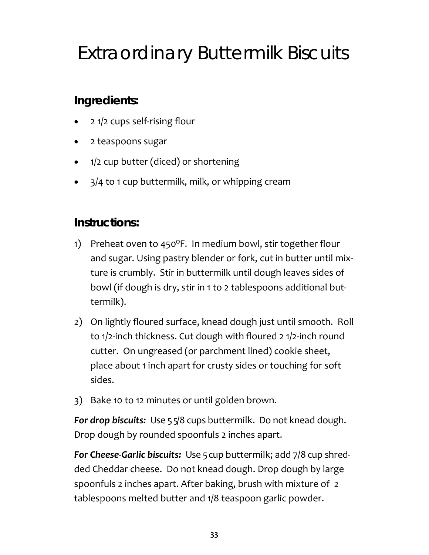# <span id="page-36-0"></span>Sour Cream Coffee Cake

### **Ingredients:**

- 3/4 cup sugar
- 1/2 cup butter, softened
- 1 tsp. vanilla
- 3 eggs
- 2 cups all purpose flour
- 1 tsp. baking soda
- 1/8 tsp. salt
- 1 cup sour cream

#### **Filling and Topping:**

- 1 1/4 cups firmly packed brown sugar
- 1 cup chopped walnuts or pecans
- 2 tsp. cinnamon
- 3 Tbsp. butter, melted

**Instructions:** Preheat oven to 375°F. Grease 2 9-inch round cake pans.

In large mixing bowl, cream butter and sugar until light and fluffy. Add vanilla and eggs; mix well. In small bowl, combine flour, bak‐ ing powder, baking soda, and salt. Stir flour mixture and sour cream alternately into creamed butter and sugar, beginning and ending with the flour mixture. In small bowl, combine all filling/ topping ingredients; mix well. Spread 1/4 batter in each cake pan; top each with 1/4 filling. Divide remaining batter; spread over filling; sprinkle with topping.

Bake 20 to 30 minutes until golden and firm.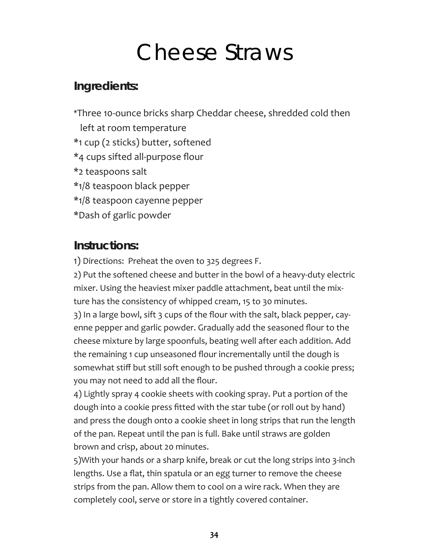### <span id="page-37-0"></span>Extraordinary Buttermilk Biscuits

#### **Ingredients:**

- 2 1/2 cups self‐rising flour
- 2 teaspoons sugar
- 1/2 cup butter (diced) or shortening
- 3/4 to 1 cup buttermilk, milk, or whipping cream

#### **Instructions:**

- 1) Preheat oven to 450ºF. In medium bowl, stir together flour and sugar. Using pastry blender or fork, cut in butter until mix‐ ture is crumbly. Stir in buttermilk until dough leaves sides of bowl (if dough is dry, stir in 1 to 2 tablespoons additional but‐ termilk).
- 2) On lightly floured surface, knead dough just until smooth. Roll to 1/2‐inch thickness. Cut dough with floured 2 1/2‐inch round cutter. On ungreased (or parchment lined) cookie sheet, place about 1 inch apart for crusty sides or touching for soft sides.
- 3) Bake 10 to 12 minutes or until golden brown.

For drop biscuits: Use 55/8 cups buttermilk. Do not knead dough. Drop dough by rounded spoonfuls 2 inches apart.

*For Cheese‐Garlic biscuits:* Use 5 cup buttermilk; add 7/8 cup shred‐ ded Cheddar cheese. Do not knead dough. Drop dough by large spoonfuls 2 inches apart. After baking, brush with mixture of 2 tablespoons melted butter and 1/8 teaspoon garlic powder.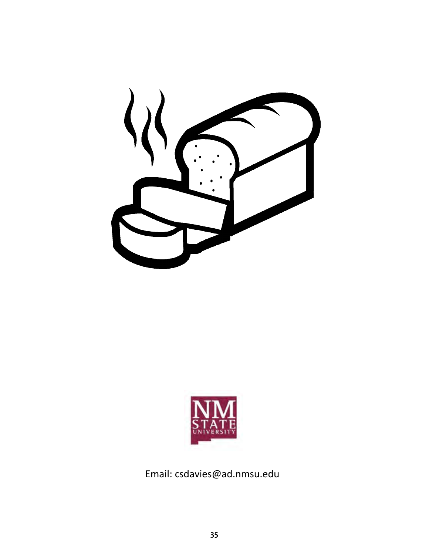## Cheese Straws

#### <span id="page-38-0"></span>**Ingredients:**

\*Three 10‐ounce bricks sharp Cheddar cheese, shredded cold then left at room temperature \*1 cup (2 sticks) butter, softened \*4 cups sifted all‐purpose flour \*2 teaspoons salt

- \*1/8 teaspoon black pepper
- \*1/8 teaspoon cayenne pepper
- \*Dash of garlic powder

#### **Instructions:**

1) Directions: Preheat the oven to 325 degrees F.

2) Put the softened cheese and butter in the bowl of a heavy‐duty electric mixer. Using the heaviest mixer paddle attachment, beat until the mix‐ ture has the consistency of whipped cream, 15 to 30 minutes.

3) In a large bowl, sift 3 cups of the flour with the salt, black pepper, cay‐ enne pepper and garlic powder. Gradually add the seasoned flour to the cheese mixture by large spoonfuls, beating well after each addition. Add the remaining 1 cup unseasoned flour incrementally until the dough is somewhat stiff but still soft enough to be pushed through a cookie press; you may not need to add all the flour.

4) Lightly spray 4 cookie sheets with cooking spray. Put a portion of the dough into a cookie press fitted with the star tube (or roll out by hand) and press the dough onto a cookie sheet in long strips that run the length of the pan. Repeat until the pan is full. Bake until straws are golden brown and crisp, about 20 minutes.

5)With your hands or a sharp knife, break or cut the long strips into 3‐inch lengths. Use a flat, thin spatula or an egg turner to remove the cheese strips from the pan. Allow them to cool on a wire rack. When they are completely cool, serve or store in a tightly covered container.